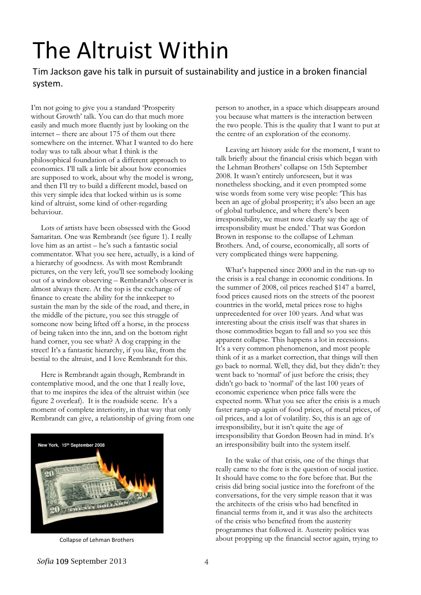## The Altruist Within The Altruist Within

Tim Jackson gave his talk in pursuit of sustainability and justice in a broken financial system.

I'm not going to give you a standard 'Prosperity without Growth' talk. You can do that much more easily and much more fluently just by looking on the internet – there are about 175 of them out there somewhere on the internet. What I wanted to do here today was to talk about what I think is the philosophical foundation of a different approach to economics. I'll talk a little bit about how economies are supposed to work, about why the model is wrong, and then I'll try to build a different model, based on this very simple idea that locked within us is some kind of altruist, some kind of other-regarding behaviour.

 Lots of artists have been obsessed with the Good Samaritan. One was Rembrandt (see figure 1). I really love him as an artist – he's such a fantastic social commentator. What you see here, actually, is a kind of a hierarchy of goodness. As with most Rembrandt pictures, on the very left, you'll see somebody looking out of a window observing – Rembrandt's observer is almost always there. At the top is the exchange of finance to create the ability for the innkeeper to sustain the man by the side of the road, and there, in the middle of the picture, you see this struggle of someone now being lifted off a horse, in the process of being taken into the inn, and on the bottom right hand corner, you see what? A dog crapping in the street! It's a fantastic hierarchy, if you like, from the bestial to the altruist, and I love Rembrandt for this.

 Here is Rembrandt again though, Rembrandt in contemplative mood, and the one that I really love, that to me inspires the idea of the altruist within (see figure 2 overleaf). It is the roadside scene. It's a moment of complete interiority, in that way that only Rembrandt can give, a relationship of giving from one



person to another, in a space which disappears around you because what matters is the interaction between the two people. This is the quality that I want to put at the centre of an exploration of the economy.

 Leaving art history aside for the moment, I want to talk briefly about the financial crisis which began with the Lehman Brothers' collapse on 15th September 2008. It wasn't entirely unforeseen, but it was nonetheless shocking, and it even prompted some wise words from some very wise people: 'This has been an age of global prosperity; it's also been an age of global turbulence, and where there's been irresponsibility, we must now clearly say the age of irresponsibility must be ended.' That was Gordon Brown in response to the collapse of Lehman Brothers. And, of course, economically, all sorts of very complicated things were happening.

 What's happened since 2000 and in the run-up to the crisis is a real change in economic conditions. In the summer of 2008, oil prices reached \$147 a barrel, food prices caused riots on the streets of the poorest countries in the world, metal prices rose to highs unprecedented for over 100 years. And what was interesting about the crisis itself was that shares in those commodities began to fall and so you see this apparent collapse. This happens a lot in recessions. It's a very common phenomenon, and most people think of it as a market correction, that things will then go back to normal. Well, they did, but they didn't: they went back to 'normal' of just before the crisis; they didn't go back to 'normal' of the last 100 years of economic experience when price falls were the expected norm. What you see after the crisis is a much faster ramp-up again of food prices, of metal prices, of oil prices, and a lot of volatility. So, this is an age of irresponsibility, but it isn't quite the age of irresponsibility that Gordon Brown had in mind. It's an irresponsibility built into the system itself.

 In the wake of that crisis, one of the things that really came to the fore is the question of social justice. It should have come to the fore before that. But the crisis did bring social justice into the forefront of the conversations, for the very simple reason that it was the architects of the crisis who had benefited in financial terms from it, and it was also the architects of the crisis who benefited from the austerity programmes that followed it. Austerity politics was Collapse of Lehman Brothers **about** propping up the financial sector again, trying to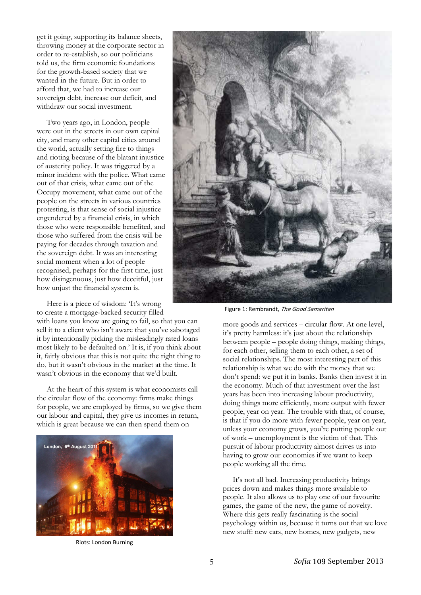get it going, supporting its balance sheets, throwing money at the corporate sector in order to re-establish, so our politicians told us, the firm economic foundations for the growth-based society that we wanted in the future. But in order to afford that, we had to increase our sovereign debt, increase our deficit, and withdraw our social investment.

 Two years ago, in London, people were out in the streets in our own capital city, and many other capital cities around the world, actually setting fire to things and rioting because of the blatant injustice of austerity policy. It was triggered by a minor incident with the police. What came out of that crisis, what came out of the Occupy movement, what came out of the people on the streets in various countries protesting, is that sense of social injustice engendered by a financial crisis, in which those who were responsible benefited, and those who suffered from the crisis will be paying for decades through taxation and the sovereign debt. It was an interesting social moment when a lot of people recognised, perhaps for the first time, just how disingenuous, just how deceitful, just how unjust the financial system is.

 Here is a piece of wisdom: 'It's wrong to create a mortgage-backed security filled

with loans you know are going to fail, so that you can sell it to a client who isn't aware that you've sabotaged it by intentionally picking the misleadingly rated loans most likely to be defaulted on.' It is, if you think about it, fairly obvious that this is not quite the right thing to do, but it wasn't obvious in the market at the time. It wasn't obvious in the economy that we'd built.

 At the heart of this system is what economists call the circular flow of the economy: firms make things for people, we are employed by firms, so we give them our labour and capital, they give us incomes in return, which is great because we can then spend them on



Riots: London Burning



Figure 1: Rembrandt, The Good Samaritan

more goods and services – circular flow. At one level, it's pretty harmless: it's just about the relationship between people – people doing things, making things, for each other, selling them to each other, a set of social relationships. The most interesting part of this relationship is what we do with the money that we don't spend: we put it in banks. Banks then invest it in the economy. Much of that investment over the last years has been into increasing labour productivity, doing things more efficiently, more output with fewer people, year on year. The trouble with that, of course, is that if you do more with fewer people, year on year, unless your economy grows, you're putting people out of work – unemployment is the victim of that. This pursuit of labour productivity almost drives us into having to grow our economies if we want to keep people working all the time.

 It's not all bad. Increasing productivity brings prices down and makes things more available to people. It also allows us to play one of our favourite games, the game of the new, the game of novelty. Where this gets really fascinating is the social psychology within us, because it turns out that we love new stuff: new cars, new homes, new gadgets, new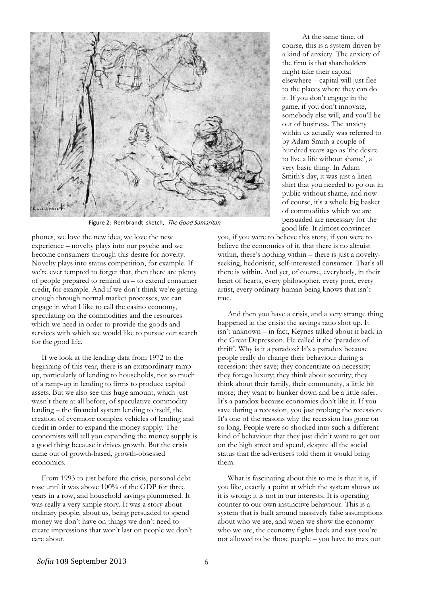

Figure 2: Rembrandt sketch. The Good Samaritan

phones, we love the new idea, we love the new experience – novelty plays into our psyche and we become consumers through this desire for novelty. Novelty plays into status competition, for example. If we're ever tempted to forget that, then there are plenty of people prepared to remind us – to extend consumer credit, for example. And if we don't think we're getting enough through normal market processes, we can engage in what I like to call the casino economy, speculating on the commodities and the resources which we need in order to provide the goods and services with which we would like to pursue our search for the good life.

 If we look at the lending data from 1972 to the beginning of this year, there is an extraordinary rampup, particularly of lending to households, not so much of a ramp-up in lending to firms to produce capital assets. But we also see this huge amount, which just wasn't there at all before, of speculative commodity lending – the financial system lending to itself, the creation of evermore complex vehicles of lending and credit in order to expand the money supply. The economists will tell you expanding the money supply is a good thing because it drives growth. But the crisis came out of growth-based, growth-obsessed economics.

 From 1993 to just before the crisis, personal debt rose until it was above 100% of the GDP for three years in a row, and household savings plummeted. It was really a very simple story. It was a story about ordinary people, about us, being persuaded to spend money we don't have on things we don't need to create impressions that won't last on people we don't care about.

 At the same time, of course, this is a system driven by a kind of anxiety. The anxiety of the firm is that shareholders might take their capital elsewhere – capital will just flee to the places where they can do it. If you don't engage in the game, if you don't innovate, somebody else will, and you'll be out of business. The anxiety within us actually was referred to by Adam Smith a couple of hundred years ago as 'the desire to live a life without shame', a very basic thing. In Adam Smith's day, it was just a linen shirt that you needed to go out in public without shame, and now of course, it's a whole big basket of commodities which we are persuaded are necessary for the good life. It almost convinces

you, if you were to believe this story, if you were to believe the economics of it, that there is no altruist within, there's nothing within – there is just a noveltyseeking, hedonistic, self-interested consumer. That's all there is within. And yet, of course, everybody, in their heart of hearts, every philosopher, every poet, every artist, every ordinary human being knows that isn't true.

 And then you have a crisis, and a very strange thing happened in the crisis: the savings ratio shot up. It isn't unknown – in fact, Keynes talked about it back in the Great Depression. He called it the 'paradox of thrift'. Why is it a paradox? It's a paradox because people really do change their behaviour during a recession: they save; they concentrate on necessity; they forego luxury; they think about security; they think about their family, their community, a little bit more; they want to hunker down and be a little safer. It's a paradox because economies don't like it. If you save during a recession, you just prolong the recession. It's one of the reasons why the recession has gone on so long. People were so shocked into such a different kind of behaviour that they just didn't want to get out on the high street and spend, despite all the social status that the advertisers told them it would bring them.

 What is fascinating about this to me is that it is, if you like, exactly a point at which the system shows us it is wrong: it is not in our interests. It is operating counter to our own instinctive behaviour. This is a system that is built around massively false assumptions about who we are, and when we show the economy who we are, the economy fights back and says you're not allowed to be those people – you have to max out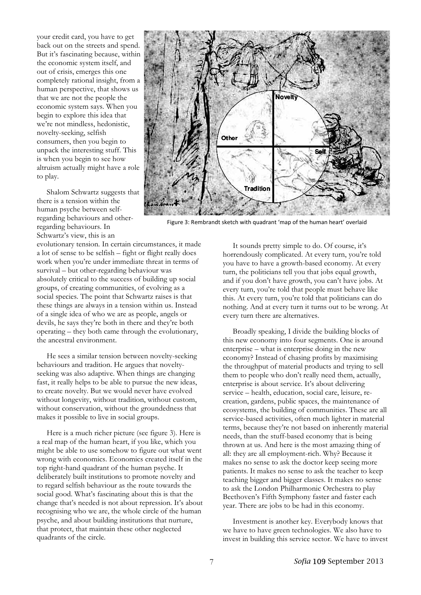your credit card, you have to get back out on the streets and spend. But it's fascinating because, within the economic system itself, and out of crisis, emerges this one completely rational insight, from a human perspective, that shows us that we are not the people the economic system says. When you begin to explore this idea that we're not mindless, hedonistic, novelty-seeking, selfish consumers, then you begin to unpack the interesting stuff. This is when you begin to see how altruism actually might have a role to play.

 Shalom Schwartz suggests that there is a tension within the human psyche between selfregarding behaviours and otherregarding behaviours. In Schwartz's view, this is an

evolutionary tension. In certain circumstances, it made a lot of sense to be selfish – fight or flight really does work when you're under immediate threat in terms of survival – but other-regarding behaviour was absolutely critical to the success of building up social groups, of creating communities, of evolving as a social species. The point that Schwartz raises is that these things are always in a tension within us. Instead of a single idea of who we are as people, angels or devils, he says they're both in there and they're both operating – they both came through the evolutionary, the ancestral environment.

 He sees a similar tension between novelty-seeking behaviours and tradition. He argues that noveltyseeking was also adaptive. When things are changing fast, it really helps to be able to pursue the new ideas, to create novelty. But we would never have evolved without longevity, without tradition, without custom, without conservation, without the groundedness that makes it possible to live in social groups.

 Here is a much richer picture (see figure 3). Here is a real map of the human heart, if you like, which you might be able to use somehow to figure out what went wrong with economics. Economics created itself in the top right-hand quadrant of the human psyche. It deliberately built institutions to promote novelty and to regard selfish behaviour as the route towards the social good. What's fascinating about this is that the change that's needed is not about repression. It's about recognising who we are, the whole circle of the human psyche, and about building institutions that nurture, that protect, that maintain these other neglected quadrants of the circle.



Figure 3: Rembrandt sketch with quadrant 'map of the human heart' overlaid

 It sounds pretty simple to do. Of course, it's horrendously complicated. At every turn, you're told you have to have a growth-based economy. At every turn, the politicians tell you that jobs equal growth, and if you don't have growth, you can't have jobs. At every turn, you're told that people must behave like this. At every turn, you're told that politicians can do nothing. And at every turn it turns out to be wrong. At every turn there are alternatives.

 Broadly speaking, I divide the building blocks of this new economy into four segments. One is around enterprise – what is enterprise doing in the new economy? Instead of chasing profits by maximising the throughput of material products and trying to sell them to people who don't really need them, actually, enterprise is about service. It's about delivering service – health, education, social care, leisure, recreation, gardens, public spaces, the maintenance of ecosystems, the building of communities. These are all service-based activities, often much lighter in material terms, because they're not based on inherently material needs, than the stuff-based economy that is being thrown at us. And here is the most amazing thing of all: they are all employment-rich. Why? Because it makes no sense to ask the doctor keep seeing more patients. It makes no sense to ask the teacher to keep teaching bigger and bigger classes. It makes no sense to ask the London Philharmonic Orchestra to play Beethoven's Fifth Symphony faster and faster each year. There are jobs to be had in this economy.

 Investment is another key. Everybody knows that we have to have green technologies. We also have to invest in building this service sector. We have to invest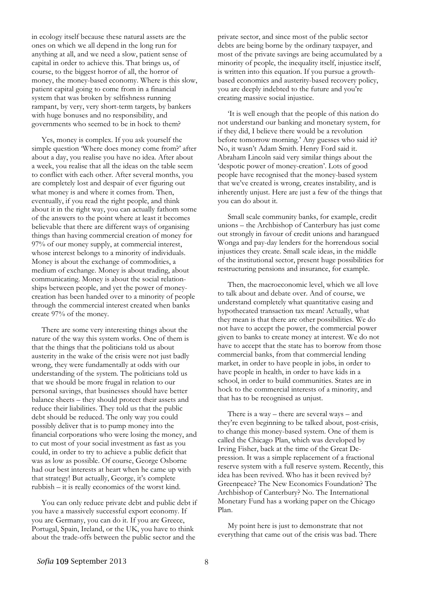in ecology itself because these natural assets are the ones on which we all depend in the long run for anything at all, and we need a slow, patient sense of capital in order to achieve this. That brings us, of course, to the biggest horror of all, the horror of money, the money-based economy. Where is this slow, patient capital going to come from in a financial system that was broken by selfishness running rampant, by very, very short-term targets, by bankers with huge bonuses and no responsibility, and governments who seemed to be in hock to them?

 Yes, money is complex. If you ask yourself the simple question 'Where does money come from?' after about a day, you realise you have no idea. After about a week, you realise that all the ideas on the table seem to conflict with each other. After several months, you are completely lost and despair of ever figuring out what money is and where it comes from. Then, eventually, if you read the right people, and think about it in the right way, you can actually fathom some of the answers to the point where at least it becomes believable that there are different ways of organising things than having commercial creation of money for 97% of our money supply, at commercial interest, whose interest belongs to a minority of individuals. Money is about the exchange of commodities, a medium of exchange. Money is about trading, about communicating. Money is about the social relationships between people, and yet the power of moneycreation has been handed over to a minority of people through the commercial interest created when banks create 97% of the money.

 There are some very interesting things about the nature of the way this system works. One of them is that the things that the politicians told us about austerity in the wake of the crisis were not just badly wrong, they were fundamentally at odds with our understanding of the system. The politicians told us that we should be more frugal in relation to our personal savings, that businesses should have better balance sheets – they should protect their assets and reduce their liabilities. They told us that the public debt should be reduced. The only way you could possibly deliver that is to pump money into the financial corporations who were losing the money, and to cut most of your social investment as fast as you could, in order to try to achieve a public deficit that was as low as possible. Of course, George Osborne had our best interests at heart when he came up with that strategy! But actually, George, it's complete rubbish – it is really economics of the worst kind.

 You can only reduce private debt and public debt if you have a massively successful export economy. If you are Germany, you can do it. If you are Greece, Portugal, Spain, Ireland, or the UK, you have to think about the trade-offs between the public sector and the

private sector, and since most of the public sector debts are being borne by the ordinary taxpayer, and most of the private savings are being accumulated by a minority of people, the inequality itself, injustice itself, is written into this equation. If you pursue a growthbased economics and austerity-based recovery policy, you are deeply indebted to the future and you're creating massive social injustice.

 'It is well enough that the people of this nation do not understand our banking and monetary system, for if they did, I believe there would be a revolution before tomorrow morning.' Any guesses who said it? No, it wasn't Adam Smith. Henry Ford said it. Abraham Lincoln said very similar things about the 'despotic power of money-creation'. Lots of good people have recognised that the money-based system that we've created is wrong, creates instability, and is inherently unjust. Here are just a few of the things that you can do about it.

 Small scale community banks, for example, credit unions – the Archbishop of Canterbury has just come out strongly in favour of credit unions and harangued Wonga and pay-day lenders for the horrendous social injustices they create. Small scale ideas, in the middle of the institutional sector, present huge possibilities for restructuring pensions and insurance, for example.

 Then, the macroeconomic level, which we all love to talk about and debate over. And of course, we understand completely what quantitative easing and hypothecated transaction tax mean! Actually, what they mean is that there are other possibilities. We do not have to accept the power, the commercial power given to banks to create money at interest. We do not have to accept that the state has to borrow from those commercial banks, from that commercial lending market, in order to have people in jobs, in order to have people in health, in order to have kids in a school, in order to build communities. States are in hock to the commercial interests of a minority, and that has to be recognised as unjust.

 There is a way – there are several ways – and they're even beginning to be talked about, post-crisis, to change this money-based system. One of them is called the Chicago Plan, which was developed by Irving Fisher, back at the time of the Great Depression. It was a simple replacement of a fractional reserve system with a full reserve system. Recently, this idea has been revived. Who has it been revived by? Greenpeace? The New Economics Foundation? The Archbishop of Canterbury? No. The International Monetary Fund has a working paper on the Chicago Plan.

 My point here is just to demonstrate that not everything that came out of the crisis was bad. There